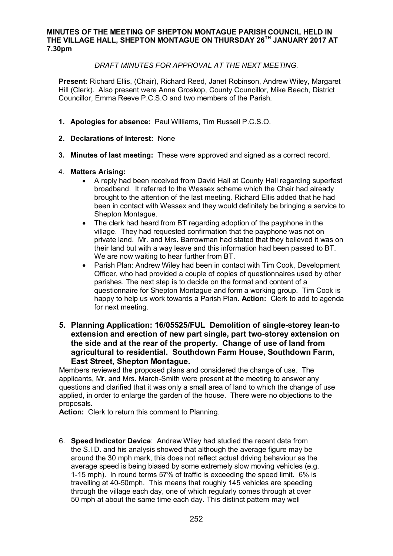#### **MINUTES OF THE MEETING OF SHEPTON MONTAGUE PARISH COUNCIL HELD IN THE VILLAGE HALL, SHEPTON MONTAGUE ON THURSDAY 26TH JANUARY 2017 AT 7.30pm**

# *DRAFT MINUTES FOR APPROVAL AT THE NEXT MEETING.*

**Present:** Richard Ellis, (Chair), Richard Reed, Janet Robinson, Andrew Wiley, Margaret Hill (Clerk). Also present were Anna Groskop, County Councillor, Mike Beech, District Councillor, Emma Reeve P.C.S.O and two members of the Parish.

- **1. Apologies for absence:** Paul Williams, Tim Russell P.C.S.O.
- **2. Declarations of Interest:** None
- **3. Minutes of last meeting:** These were approved and signed as a correct record.

# 4. **Matters Arising:**

- · A reply had been received from David Hall at County Hall regarding superfast broadband. It referred to the Wessex scheme which the Chair had already brought to the attention of the last meeting. Richard Ellis added that he had been in contact with Wessex and they would definitely be bringing a service to Shepton Montague.
- · The clerk had heard from BT regarding adoption of the payphone in the village. They had requested confirmation that the payphone was not on private land. Mr. and Mrs. Barrowman had stated that they believed it was on their land but with a way leave and this information had been passed to BT. We are now waiting to hear further from BT.
- Parish Plan: Andrew Wiley had been in contact with Tim Cook, Development Officer, who had provided a couple of copies of questionnaires used by other parishes. The next step is to decide on the format and content of a questionnaire for Shepton Montague and form a working group. Tim Cook is happy to help us work towards a Parish Plan. **Action:** Clerk to add to agenda for next meeting.
- **5. Planning Application: 16/05525/FUL Demolition of single-storey lean-to extension and erection of new part single, part two-storey extension on the side and at the rear of the property. Change of use of land from agricultural to residential. Southdown Farm House, Southdown Farm, East Street, Shepton Montague.**

Members reviewed the proposed plans and considered the change of use. The applicants, Mr. and Mrs. March-Smith were present at the meeting to answer any questions and clarified that it was only a small area of land to which the change of use applied, in order to enlarge the garden of the house. There were no objections to the proposals.

**Action:** Clerk to return this comment to Planning.

6. **Speed Indicator Device**: Andrew Wiley had studied the recent data from the S.I.D. and his analysis showed that although the average figure may be around the 30 mph mark, this does not reflect actual driving behaviour as the average speed is being biased by some extremely slow moving vehicles (e.g. 1-15 mph). In round terms 57% of traffic is exceeding the speed limit. 6% is travelling at 40-50mph. This means that roughly 145 vehicles are speeding through the village each day, one of which regularly comes through at over 50 mph at about the same time each day. This distinct pattern may well